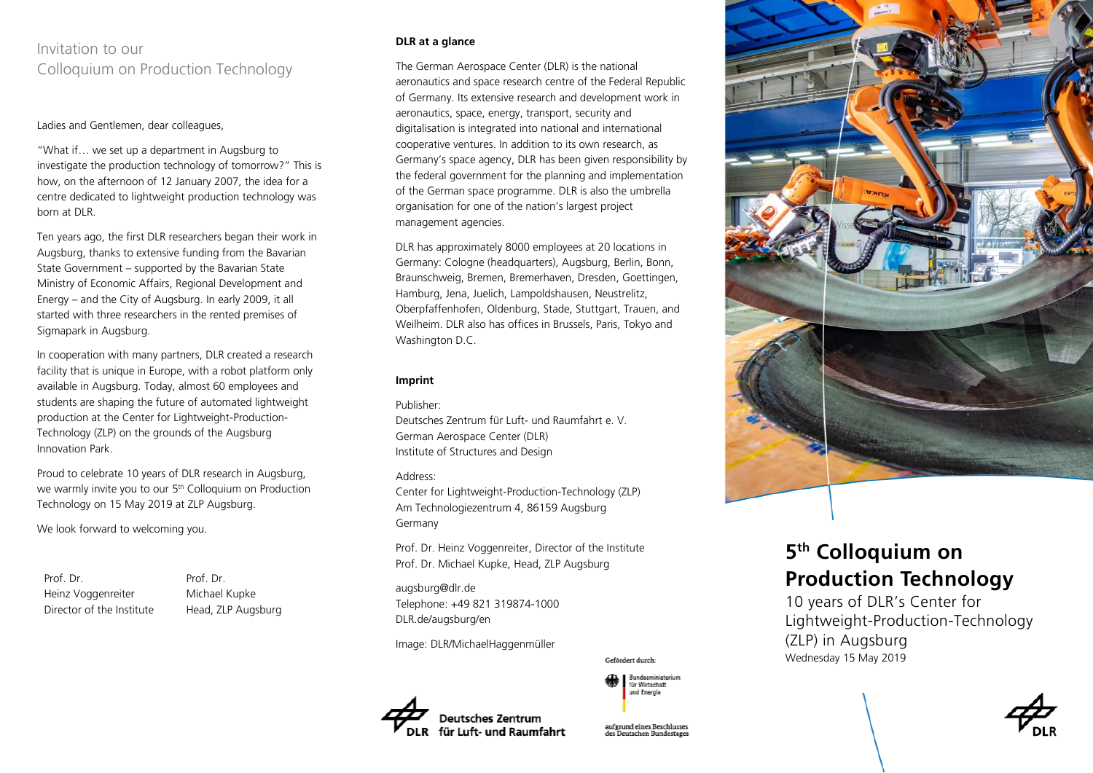# Invitation to our Colloquium on Production Technology

#### Ladies and Gentlemen, dear colleagues,

"What if… we set up a department in Augsburg to investigate the production technology of tomorrow?" This is how, on the afternoon of 12 January 2007, the idea for a centre dedicated to lightweight production technology was born at DLR.

Ten years ago, the first DLR researchers began their work in Augsburg, thanks to extensive funding from the Bavarian State Government – supported by the Bavarian State Ministry of Economic Affairs, Regional Development and Energy – and the City of Augsburg. In early 2009, it all started with three researchers in the rented premises of Sigmapark in Augsburg.

In cooperation with many partners, DLR created a research facility that is unique in Europe, with a robot platform only available in Augsburg. Today, almost 60 employees and students are shaping the future of automated lightweight production at the Center for Lightweight-Production-Technology (ZLP) on the grounds of the Augsburg Innovation Park.

Proud to celebrate 10 years of DLR research in Augsburg, we warmly invite you to our 5 th Colloquium on Production Technology on 15 May 2019 at ZLP Augsburg.

We look forward to welcoming you.

Prof. Dr. Heinz Voggenreiter Director of the Institute Prof. Dr. Michael Kupke Head, ZLP Augsburg

## **DLR at a glance**

The German Aerospace Center (DLR) is the national aeronautics and space research centre of the Federal Republic of Germany. Its extensive research and development work in aeronautics, space, energy, transport, security and digitalisation is integrated into national and international cooperative ventures. In addition to its own research, as Germany's space agency, DLR has been given responsibility by the federal government for the planning and implementation of the German space programme. DLR is also the umbrella organisation for one of the nation's largest project management agencies.

DLR has approximately 8000 employees at 20 locations in Germany: Cologne (headquarters), Augsburg, Berlin, Bonn, Braunschweig, Bremen, Bremerhaven, Dresden, Goettingen, Hamburg, Jena, Juelich, Lampoldshausen, Neustrelitz, Oberpfaffenhofen, Oldenburg, Stade, Stuttgart, Trauen, and Weilheim. DLR also has offices in Brussels, Paris, Tokyo and Washington D.C.

#### **Imprint**

Publisher:

Deutsches Zentrum für Luft- und Raumfahrt e. V. German Aerospace Center (DLR) Institute of Structures and Design

#### Address:

Center for Lightweight-Production-Technology (ZLP) Am Technologiezentrum 4, 86159 Augsburg Germany

Prof. Dr. Heinz Voggenreiter, Director of the Institute Prof. Dr. Michael Kupke, Head, ZLP Augsburg

augsburg@dlr.de Telephone: +49 821 319874-1000 DLR.de/augsburg/en

Image: DLR/MichaelHaggenmüller

Gefördert durch



aufgrund eines Beschlusses

für Wirtschaft und Energie



# **5 th Colloquium on Production Technology**

10 years of DLR's Center for Lightweight-Production-Technology (ZLP) in Augsburg Wednesday 15 May 2019